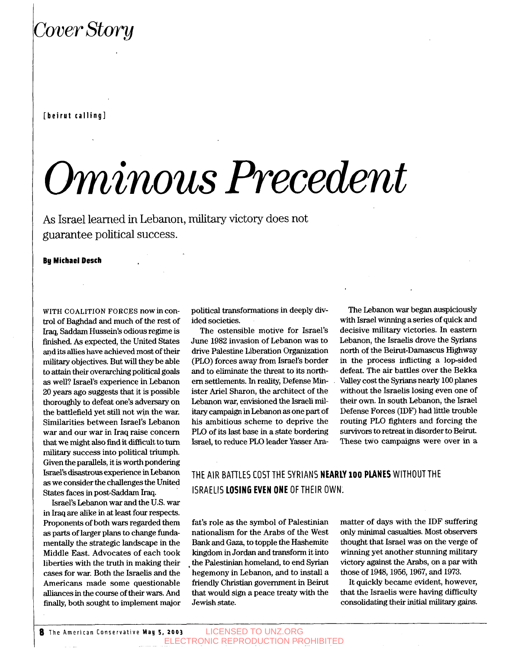## Cover Story

#### **[beirut calling]**

# *Ominous Precedent*

As Israel learned in Lebanon, military victory does not guarantee political success.

#### **By Michael Desch**

**WITH COALITION FORCES** nowincontrol of Baghdad and much of the rest of **Iraq,** Saddam Hussein's odious regime is finished. As expected, the United States and its allies have achieved most of their military objectives. But will they be able *to* attain their overarching political goals **as** well? **Israel's** experience in Lebanon 20 years ago suggests that it is possible thoroughly **to** defeat one's adversary on the battlefield yet still not win the war. Similarities between Israel's Lebanon war and our war in Iraq raise concern that we might also find it difficult to turn military success into political triumph. Given the parallels, it is worth pondering Israel's disastmus experience in Lebanon **as** we consider the challenges the United States faces in post-Saddam Iraq.

Israel's Lebanon war and the U.S. war in Iraq are alike in at least four respects. Proponehts of both wars regarded them **as** parts of larger plans *to* change fundamentally the strategic landscape in the Middle East. Advocates of each took liberties with the truth in making their cases for war. Both the **Israelis** and the Americans made some questionable alliances in the come of their wars. And finally, both sought to implement major political transformations in deeply divided societies.

The ostensible motive for Israel's June **1982** invasion of Lebanon was to drive Palestine Liberation Organization (PLO) forces away from Israel's border and to eliminate the threat to its northern settlements. In reality, Defense Minister Ariel Sharon, the architect of the Lebanon war, envisioned the Israeli military campaign in Lebanon **as** one part of his ambitious scheme to deprive the PLO of its last base in a state bordering Israel, to reduce PLO leader Yasser **Ara-**

The Lebanon war began auspiciously with Israel winning a series of quick and decisive military victories. In eastern Lebanon, the Israelis drove the Syrians north of the Beirut-Damascus Highway in the process inflicting a lop-sided defeat. The air battles over the Bekka Valley cost the **Syrians** nearly **100** planes without the Israelis losing even one of their own. In south Lebanon, the Israel Defense Forces (IDF) had little trouble routing PLO fighters and forcing the survivors to retreat in disorder *to* Beirut. These two campaigns were over in a

#### THE AIR BATTLES COSTTHE SYRIANS **NEARLY 100 PLANES** WITHOUTTHE ISRAELIS **LOSING EVEN ONE** OFTHEIR OWN.

fat's role **as** the symbol of Palestinian nationalism for the Arabs of the West Bank and Gaza, to topple the Hashemite kingdom in Jordan and transform it into the Palestinian homeland, *to* end Syrian hegemony in Lebanon, and to install a friendly Christian government in Beirut that would sign a peace treaty with the Jewish state.

matter of days with the IDF suffering **only** minimal casualties. Most observers thought that Israel was on the verge of winning yet another stunning military victory against the Arabs, on a par with those of **1948,1956,1967,** and **1973.** 

It quickly became evident, however, that the Israelis were having difficulty consolidating their initial military gains.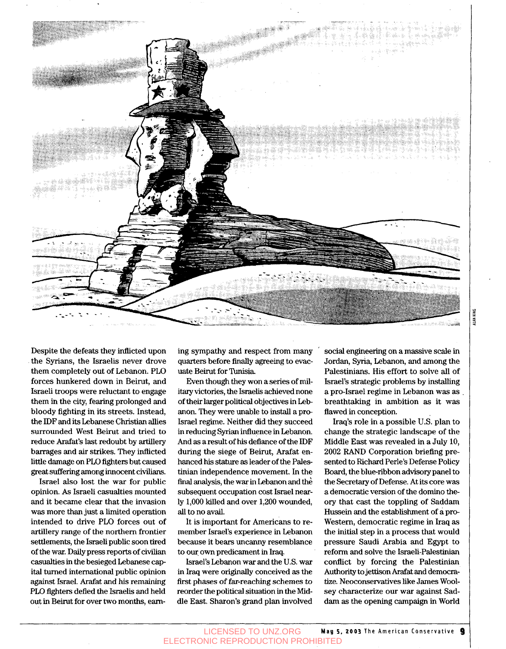

Despite the defeats they inflicted upon the Syrians, the Israelis never drove them completely out of Lebanon. PLO forces hunkered down in Beirut, and Israeli troops were reluctant to engage them in the city, fearing prolonged and bloody fighting in its streets. Instead, the **IDF** and its Lebanese Christian allies surrounded West Beirut and tried to reduce Arafat's last redoubt by artillery barrages and **air** strikes. They inflicted little damage on PLO fighters but caused great suffering among innocent civilians.

Israel also lost the war for public opinion. *As* Israeli casualties mounted and it became clear that the invasion was more than just a limited operation intended to drive PLO forces out of artillery range of the northern frontier settlements, the Israeli public soon tired of the war. Daily press reports of civilian casualties in the besieged Lebanese capital turned international public opinion against Israel. Arafat and his remaining PLO fighters defied the **Israelis** and held out in Beirut for over two months, earning sympathy and respect from many quarters before finally agreeing to evacuate Beirut for Tunisia

Even though they won a series of military victories, the Israelis achieved none of their larger political objectives in Lebanon. They were unable to install a pre Israel regime. Neither did they succeed in reducing Syrian influence in Lebanon. And **as** a result of his defiance of the IDF during the siege of Beirut, Arafat enhanced **his** stature **as** leader of the Palestinian independence movement. In the final analysis, the war in Lebanon and the subsequent occupation cost Israel nearly 1,000 killed and over 1,200 wounded, all to no avail.

It is important for Americans to remember Israel's experience in Lebanon because it bears uncanny resemblance to our own predicament in Iraq.

Israel's Lebanon war and the US. war in Iraq **were** originally conceived **as** the **first** phases of far-reaching schemes to reorder the political situation in the Middle East. Sharon's grand plan involved social engineering on a massive scale in Jordan, Syria, Lebanon, and among the Palestinians. His effort to solve all of Israel's strategic problems by **installing**  a pro-Israel regime in Lebanon was **as** . breathtaking in ambition **as** it was flawed in conception.

**Iraq's** role in a possible U.S. plan to change the strategic landscape of the Middle East **was** revealed in a July 10, 2002 RAND Corporation briefing presented to Richard Perle's Defense Policy Board, the blue-ribbon advisory panel to the Secretary of Defense. At its core was a democratic version of the domino theory that cast the toppling of Saddam Hussein and the establishment of **a** pro-Western, democratic regime in Iraq **as**  the initial step in a process that would pressure Saudi Arabia and Egypt to reform and solve the Israeli-Palestinian conflict by forcing the Palestinian Authority to jettison Arafat and democratize. Neoconservatives like James Woolsey characterize our war against Saddam **as** the opening campaign in World ALAN KING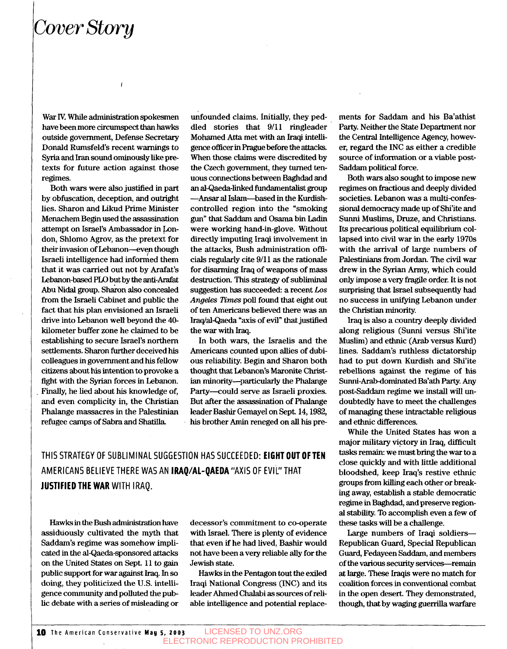## *Cover* Stwy

War IV. While administration spokesmen have been more circumspect than hawks outside government, Defense Secretary Donald Rumsfeld's recent warnings to Syria and Iran sound ominously like pretexts for future action against those regimes.

*I* 

Both wars were also justified in part by obfuscation, deception, and outright lies. Sharon and Likud Prime Minister Menachem Begin used the assassination attempt on Israel's Ambassador in London, Shlomo Agrov, **as** the pretext for their invasion of Lebanon-even though Israeli intelligence had informed them that it was carried out not by Arafat's Lebanon-based PLO but by the anti-Arafat Abu Nidal group. Sharon also concealed from the Israeli Cabinet and public the fact that his plan envisioned an Israeli drive into Lebanon well beyond the **40**  kilometer buffer zone he claimed to be establishing to secure **Israel's** northern settlements. Sharon further deceived his colleagues in government and his fellow citizens about his intention to provoke a fight with the Syrian forces in Lebanon. . Finally, he lied about his knowledge of, and even complicity in, the Christian Phalange massacres in the Palestinian refugee mps of Sabra and **Shatilla** 

unfounded claims. Initially, they peddled stones that **9/11** ringleader Mohamed **Atta** met with **an** Iraqi intelligence officer in Prague before the attacks. When those claims were **discredited** by the Czech government, they **turned** tenuous connections between Baghdad and an **al-Qaeda-linked** fundamentalist group --Ansar **al** Islam-based in the Kurdjshcontrolled region into the "smoking *gun"* **that Saddam** and *Osama* bin Ladin were working hand-in-glove. Without directly imputing Iraqi involvement in the attacks, Bush administration officials regularly cite **9/11 as** the rationale for disarming Iraq of weapons of mass destruction. This strategy of subliminal suggestion **has** succeeded: a recent *Los Angeles Times* poll found that eight out of ten Americans believed there was an Iraq/al-Qaeda "axis of evil" that justified the war with Iraq.

In both wars, the Israelis and the Americans counted upon allies of dubious reliability. Begin and Sharon both thought that Lebanon's Maronite Christian minority-particularly the Phalange Party-could serve **as** Israeli proxies. But after the assassination of Phalange leader Bashir Gemayel on Sept. **14,1982,**  his brother Amin reneged on all his **pre-**

**THIS STRATEGY** OF **SUBLIMINAL SUGGESTION HAS SUCCEEDED: EIGHT OUT OFTEN AMERICANS BELIEVE THERE WAS AN IRAQ/AL-QAEDA"AXIS** OF **EVIL'ITHAT JUSTIFIED THE WAR WITH IRAQ.** 

Hawks in the Bush administration have assiduously cultivated the myth that Saddam's regime was somehow implicated in the alQaedasponsored **attacks**  on the United States on Sept. **11** to *gain*  public support for war **against** Iraq. In *so*  doing, they politicized the U.S. intelligence community and polluted the public debate with a series of misleading or

decessor's commitment to co-operate with Israel. There is plenty of evidence that even if he had lived, Bashir would not have been a very reliable ally for the Jewish state.

Hawks in the Pentagon tout the exiled Iraqi National Congress (INC) and its leader Ahmed Chalabi **as** sources of reliable intelligence and potential replacements for Saddam and his Ba'athist Party. Neither the State Department nor the Central Intelligence Agency, however, regard the INC **as** either a credible source of information or **a** viable post-Saddam political force.

Both wars also sought to impose new regimes on fractious and deeply divided societies. Lebanon was a multi-confes**sional** democracy made up of Shi'ite and Sunni Muslims, Druze, and Christians. Its precarious political equilibrium collapsed into civil war in the early **1970s**  with the arrival of large numbers of Palestinians from Jordan, The civil war drew in the Syrian Army, which could only impose a very fragile order. It is not surprising that Israel subsequently had no success in unifying Lebanon under the **Christian** minority.

**Iraq** is also a country deeply divided along religious **(Sunni** versus Shi'ite Muslim) and ethnic **(Arab** versus Kurd) lines. Saddam's ruthless dictatorship had to put down Kurdish and Shi'ite rebellions against the regime of his Sunni-Arab-dominated Ba'ath Party. Any post-Saddam regime we install **will** undoubtedly have to meet the challenges of managing these intractable religious and ethnic differences.

While the United States has won a major military victory *in* **Iraq,** difficult tasks remain: we must bring the war to a close quickly and with little additional bloodshed, keep **Iraq's** restive ethnic groups from killing each other or breaking away, establish a stable democratic regime in Baghdad, and preserve region**al stability.** To accomplish even a few of these **tasks** will be a challenge.

Large numbers of Iraqi soldiers-Republican Guard, Special Republican Guard, Fedayeen Saddam, and members of the various security services-remain **at** large. These **Iraqis** were no match for coalition forces in conventional combat in the open desert. They demonstrated, though, **that** by waging guerrilla warfare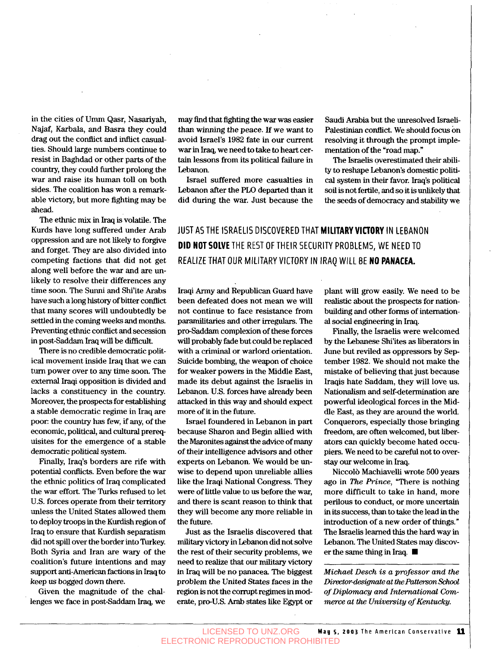in the cities of Umm **Qasr,** Nasariyah, Najaf, Karbala, and Basra they could drag out the conflict and inflict casualties. Should large numbers continue to resist in Baghdad or other parts of the country, they could further prolong the war and raise its human toll on both sides. The coalition has won a remarkable victory, but more fighting may be ahead.

The ethnic *mix* in Iraq is volatile. The Kurds have long suffered under Arab oppression and are not likely to forgive and forget. They are also divided into competing factions that did not get along well before the war and are unlikely to resolve their differences any time soon. The **Sunni** and Shi'ite Arabs have such a long history of bitter conflict. that many scores will undoubtedly be settled in the coming weeks and months. Preventing ethnic conflict and secession in post-Saddam Iraq will be difficult.

There is no credible democratic political movement inside Iraq that we can turn power over to any time soon. The external Iraqi opposition is divided and lacks a constituency in the country. Moreover, the prospects for establishing a stable democratic regime in Iraq are poor: the country has few, if any, of the economic, political, and cultural prerequisites for the emergence of a stable democratic political system.

Finally, Iraq's borders are rife with potential conflicts. Even before the war the ethnic politics of Iraq complicated the war effort. The Turks refused to let U.S. forces operate from their territory unless the United States allowed them to deploy troops in the Kurdish region of Iraq to ensure that Kurdish separatism did not spill over the border into Turkey. Both Syria and Iran are wary of the coalition's future intentions and may support anti-American factions in Iraq to keep us bogged down there.

Given the magnitude of the challenges we face in post-Saddam Iraq, we may find that fighting the war was easier than winning the peace. If we want to avoid Israel's **1982** fate in our current war in Iraq, we need to take to heart certain lessons from its political failure in Lebanon.

Israel suffered more casualties in Lebanon after the PLO departed than it did during the war. Just because the

Saudi **Arabia** but the unresolved Israeli-Palestinian conflict. We should focus on resolving it through the prompt implementation of the "road map."

The Israelis overestimated their ability to reshape Lebanon's domestic politi*cal* system in their favor. Iraq's political **soil** is not fertile, and so it is unlikely that the seeds of democracy and stability we

#### JUST AS THE ISRAELIS DISCOVERED THAT **MILITARY VICTORY** IN LEBANON **DID NOTSOLVE** THE REST OFTHEIR SECURITY PROBLEMS, WE NEED TO REALIZE THAT OUR MILITARY VICTORY IN IRAQ WILL BE **NO PANACEA.**

Iraqi Army and Republican Guard have been defeated does not mean we will not continue to face resistance from paramilitaries and other irregulars. The pro-Saddam complexion of these forces will probably fade but could be replaced with a criminal or warlord orientation. Suicide bombing, the weapon of choice for weaker powers in the Middle East, made its debut against the Israelis in Lebanon. U.S. forces have already been attacked in this way and should expect more of it in the future.

Israel foundered in Lebanon in part because Sharon and Begin allied with the Maronites against the advice of many of their intelligence **advisors** and other experts on Lebanon. We would be unwise to depend upon unreliable allies like the Iraqi National Congress. They were of little value to us before the war, and there is scant reason to think that they will become any more reliable in the future.

Just **as** the Israelis discovered that military victory in Lebanon did not solve the rest of their security problems, we need to realize that our military victory in Iraq will be no panacea. The biggest problem the United States faces in the region is not the corrupt regimes in moderate, pro-U.S. Arab states like Egypt or plant will grow easily. We need to be realistic about the prospects for nationbuilding and other forms of international social engineering in Iraq.

Finally, the Israelis were welcomed by the Lebanese Shi'ites **as** liberators in June but reviled **as** oppressors by September **1982.** We should not make the mistake of believing that just because Iraqis hate Saddam, they will love us. Nationalism and self-determination are powerful ideological forces in the Middle East, **as** they are around the world. Conquerors, especially those bringing freedom, are often welcomed, but liberators can quickly become hated occupiers. We need to be careful not to overstay our welcome in Iraq.

Niccolb Machiavelli wrote 500 years ago in *The Prince,* "There is nothing more difficult to take in hand, more perilous to conduct, or more uncertain in its success, than to take the lead in the introduction of a new order of things." The **Israelis** learned this the hard way in Lebanon. The United States may discover the same thing in Iraq.  $\blacksquare$ 

*Michael Desch is a professor and the DiractordesignateatthePattersonschool of Diplomacy and International Comrnerce at the University of Kentucky.*